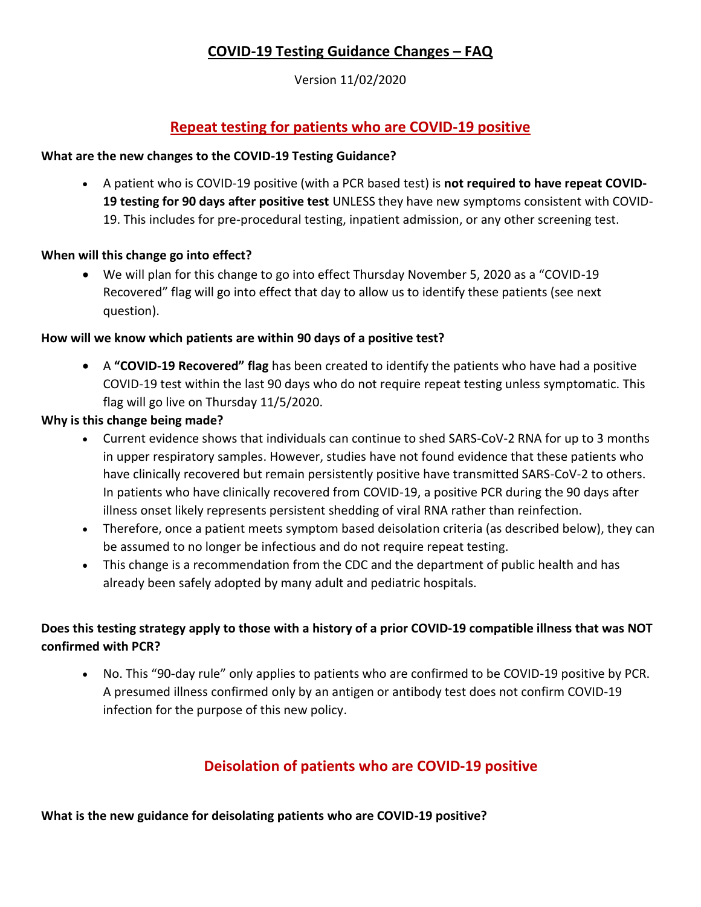# **COVID-19 Testing Guidance Changes – FAQ**

Version 11/02/2020

# **Repeat testing for patients who are COVID-19 positive**

#### **What are the new changes to the COVID-19 Testing Guidance?**

• A patient who is COVID-19 positive (with a PCR based test) is **not required to have repeat COVID-19 testing for 90 days after positive test** UNLESS they have new symptoms consistent with COVID-19. This includes for pre-procedural testing, inpatient admission, or any other screening test.

#### **When will this change go into effect?**

• We will plan for this change to go into effect Thursday November 5, 2020 as a "COVID-19 Recovered" flag will go into effect that day to allow us to identify these patients (see next question).

#### **How will we know which patients are within 90 days of a positive test?**

• A **"COVID-19 Recovered" flag** has been created to identify the patients who have had a positive COVID-19 test within the last 90 days who do not require repeat testing unless symptomatic. This flag will go live on Thursday 11/5/2020.

#### **Why is this change being made?**

- Current evidence shows that individuals can continue to shed SARS-CoV-2 RNA for up to 3 months in upper respiratory samples. However, studies have not found evidence that these patients who have clinically recovered but remain persistently positive have transmitted SARS-CoV-2 to others. In patients who have clinically recovered from COVID-19, a positive PCR during the 90 days after illness onset likely represents persistent shedding of viral RNA rather than reinfection.
- Therefore, once a patient meets symptom based deisolation criteria (as described below), they can be assumed to no longer be infectious and do not require repeat testing.
- This change is a recommendation from the CDC and the department of public health and has already been safely adopted by many adult and pediatric hospitals.

## **Does this testing strategy apply to those with a history of a prior COVID-19 compatible illness that was NOT confirmed with PCR?**

• No. This "90-day rule" only applies to patients who are confirmed to be COVID-19 positive by PCR. A presumed illness confirmed only by an antigen or antibody test does not confirm COVID-19 infection for the purpose of this new policy.

# **Deisolation of patients who are COVID-19 positive**

**What is the new guidance for deisolating patients who are COVID-19 positive?**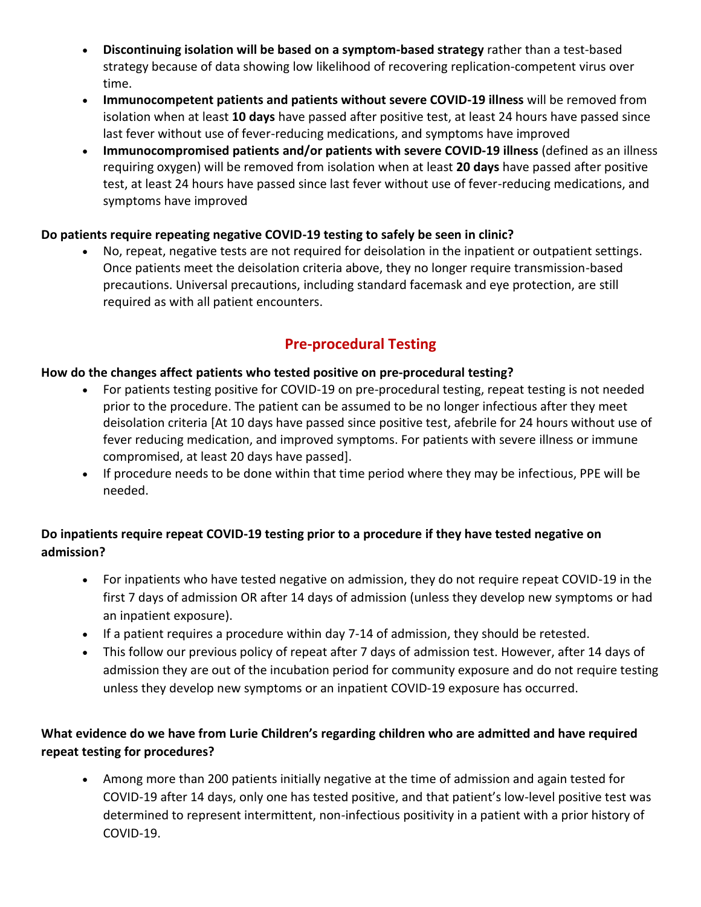- **Discontinuing isolation will be based on a symptom-based strategy** rather than a test-based strategy because of data showing low likelihood of recovering replication-competent virus over time.
- **Immunocompetent patients and patients without severe COVID-19 illness** will be removed from isolation when at least **10 days** have passed after positive test, at least 24 hours have passed since last fever without use of fever-reducing medications, and symptoms have improved
- **Immunocompromised patients and/or patients with severe COVID-19 illness** (defined as an illness requiring oxygen) will be removed from isolation when at least **20 days** have passed after positive test, at least 24 hours have passed since last fever without use of fever-reducing medications, and symptoms have improved

## **Do patients require repeating negative COVID-19 testing to safely be seen in clinic?**

• No, repeat, negative tests are not required for deisolation in the inpatient or outpatient settings. Once patients meet the deisolation criteria above, they no longer require transmission-based precautions. Universal precautions, including standard facemask and eye protection, are still required as with all patient encounters.

# **Pre-procedural Testing**

#### **How do the changes affect patients who tested positive on pre-procedural testing?**

- For patients testing positive for COVID-19 on pre-procedural testing, repeat testing is not needed prior to the procedure. The patient can be assumed to be no longer infectious after they meet deisolation criteria [At 10 days have passed since positive test, afebrile for 24 hours without use of fever reducing medication, and improved symptoms. For patients with severe illness or immune compromised, at least 20 days have passed].
- If procedure needs to be done within that time period where they may be infectious, PPE will be needed.

## **Do inpatients require repeat COVID-19 testing prior to a procedure if they have tested negative on admission?**

- For inpatients who have tested negative on admission, they do not require repeat COVID-19 in the first 7 days of admission OR after 14 days of admission (unless they develop new symptoms or had an inpatient exposure).
- If a patient requires a procedure within day 7-14 of admission, they should be retested.
- This follow our previous policy of repeat after 7 days of admission test. However, after 14 days of admission they are out of the incubation period for community exposure and do not require testing unless they develop new symptoms or an inpatient COVID-19 exposure has occurred.

## **What evidence do we have from Lurie Children's regarding children who are admitted and have required repeat testing for procedures?**

• Among more than 200 patients initially negative at the time of admission and again tested for COVID-19 after 14 days, only one has tested positive, and that patient's low-level positive test was determined to represent intermittent, non-infectious positivity in a patient with a prior history of COVID-19.